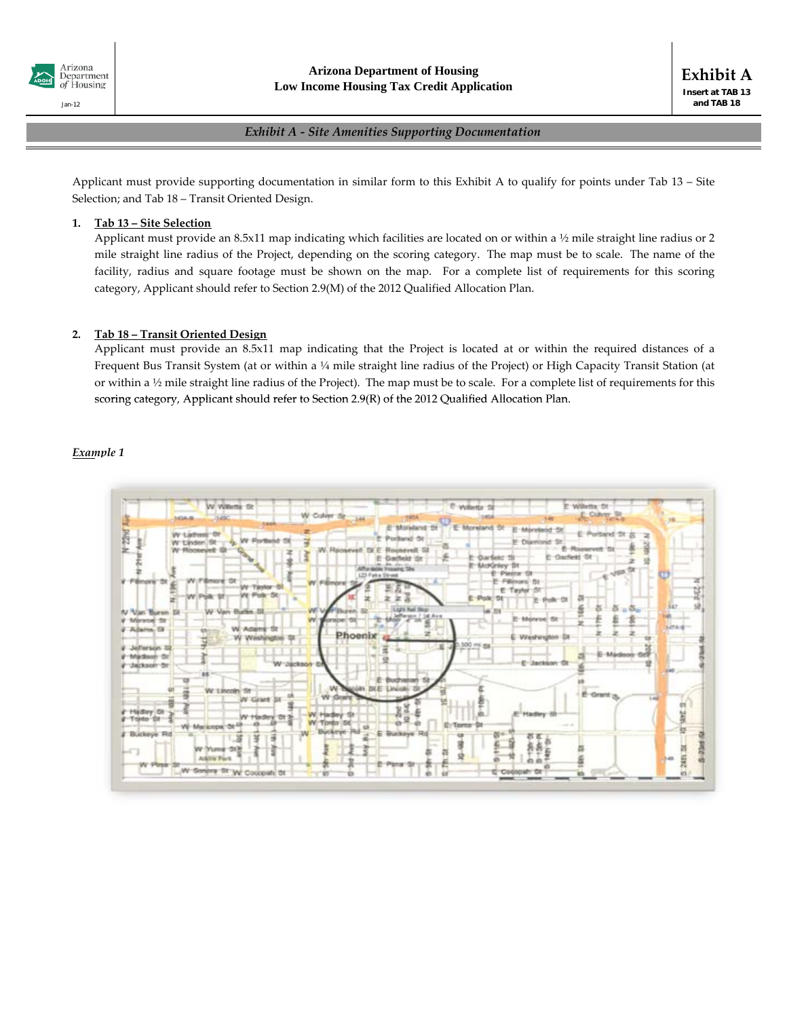

**Exhibit A Insert at TAB 13 and TAB 18**

#### *Exhibit A ‐ Site Amenities Supporting Documentation*

Applicant must provide supporting documentation in similar form to this Exhibit A to qualify for points under Tab 13 – Site Selection; and Tab 18 – Transit Oriented Design.

#### **1. Tab 13 – Site Selection**

Applicant must provide an 8.5x11 map indicating which facilities are located on or within a ½ mile straight line radius or 2 mile straight line radius of the Project, depending on the scoring category. The map must be to scale. The name of the facility, radius and square footage must be shown on the map. For a complete list of requirements for this scoring category, Applicant should refer to Section 2.9(M) of the 2012 Qualified Allocation Plan.

#### **2. Tab 18 – Transit Oriented Design**

Applicant must provide an 8.5x11 map indicating that the Project is located at or within the required distances of a Frequent Bus Transit System (at or within a ¼ mile straight line radius of the Project) or High Capacity Transit Station (at or within a ½ mile straight line radius of the Project). The map must be to scale. For a complete list of requirements for this scoring category, Applicant should refer to Section 2.9(R) of the 2012 Qualified Allocation Plan.

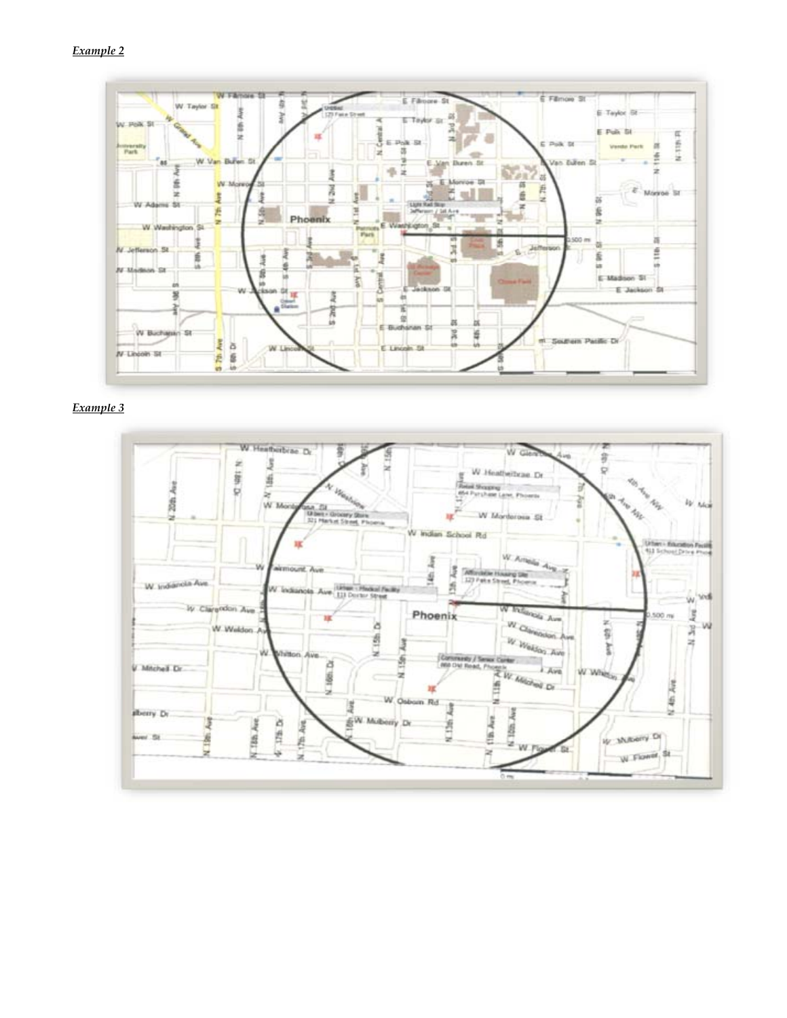

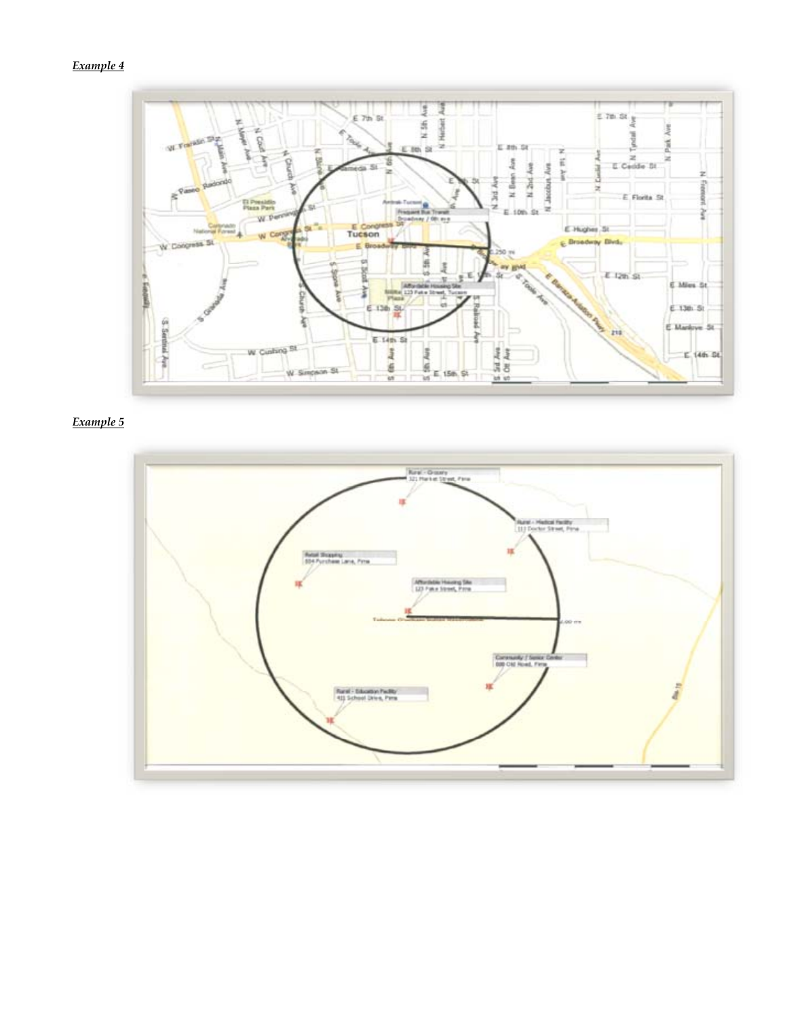# *Example 4*